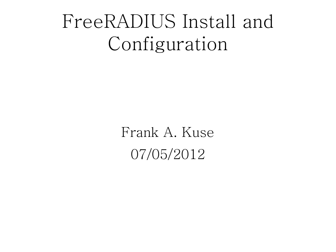### FreeRADIUS Install and Configuration

Frank A. Kuse 07/05/2012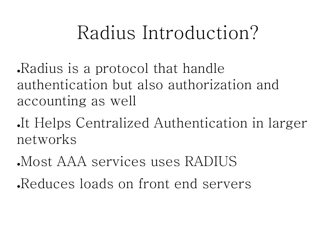### Radius Introduction?

Radius is a protocol that handle authentication but also authorization and accounting as well

It Helps Centralized Authentication in larger networks

●Most AAA services uses RADIUS

Reduces loads on front end servers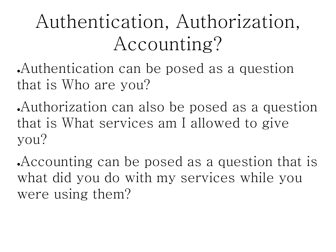# Authentication, Authorization, Accounting?

Authentication can be posed as a question that is Who are you?

Authorization can also be posed as a question that is What services am I allowed to give you?

Accounting can be posed as a question that is what did you do with my services while you were using them?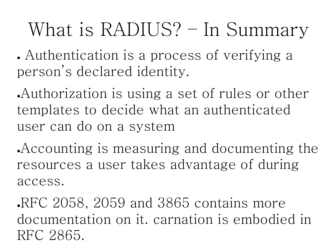# What is RADIUS? – In Summary

• Authentication is a process of verifying a person's declared identity.

Authorization is using a set of rules or other templates to decide what an authenticated user can do on a system

Accounting is measuring and documenting the resources a user takes advantage of during access.

RFC 2058, 2059 and 3865 contains more documentation on it. carnation is embodied in RFC 2865.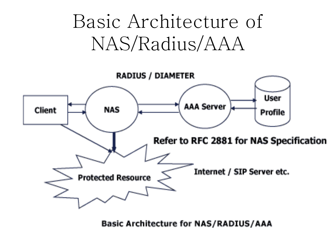# Basic Architecture of NAS/Radius/AAA



**Basic Architecture for NAS/RADIUS/AAA**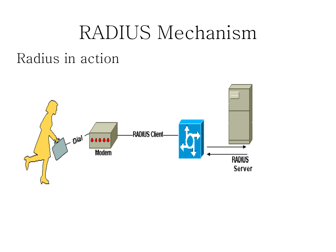#### RADIUS Mechanism

#### Radius in action

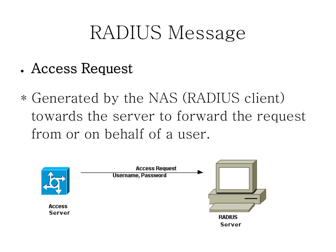### RADIUS Message

- Access Request
- \* Generated by the NAS (RADIUS client) towards the server to forward the request from or on behalf of a user.

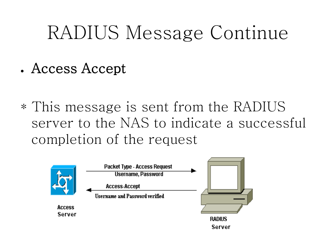### RADIUS Message Continue

- Access Accept
- \* This message is sent from the RADIUS server to the NAS to indicate a successful completion of the request

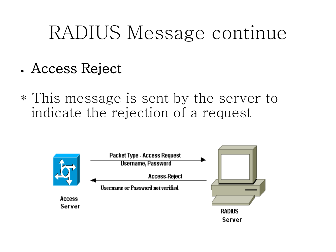### RADIUS Message continue

- Access Reject
- \* This message is sent by the server to indicate the rejection of a request

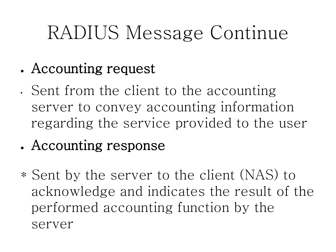# RADIUS Message Continue

- Accounting request
- Sent from the client to the accounting server to convey accounting information regarding the service provided to the user
- Accounting response
- \* Sent by the server to the client (NAS) to acknowledge and indicates the result of the performed accounting function by the server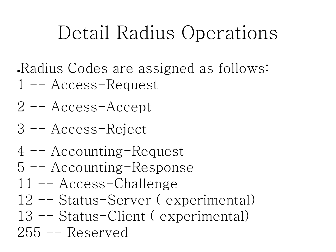## Detail Radius Operations

- Radius Codes are assigned as follows: 1 -- Access-Request
- 2 -- Access-Accept
- 3 -- Access-Reject
- 4 -- Accounting-Request
- 5 -- Accounting-Response
- 11 -- Access-Challenge
- 12 -- Status-Server ( experimental)
- 13 -- Status-Client ( experimental)

255 -- Reserved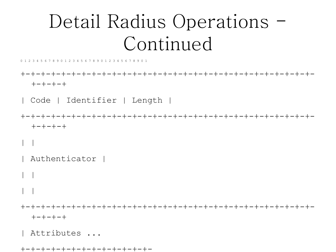## Detail Radius Operations -Continued

5 6 7 8 9 0 1 2 3 4 5 6 7 8 9 0 1 2 3 4 5 6 7 8 9 0 1

+-+-+-+-+-+-+-+-+-+-+-+-+-+-+-+-+-+-+-+-+-+-+-+-+-+-+-+-+-  $+-+--+-+$ 

| Code | Identifier | Length |

+-+-+-+-+-+-+-+-+-+-+-+-+-+-+-+-+-+-+-+-+-+-+-+-+-+-+-+-+-  $+-+--+-+$ 

 $| \cdot |$ 

| Authenticator |

 $|\;|$ 

| |

+-+-+-+-+-+-+-+-+-+-+-+-+-+-+-+-+-+-+-+-+-+-+-+-+-+-+-+-+- +-+-+-+

| Attributes ...

+-+-+-+-+-+-+-+-+-+-+-+-+-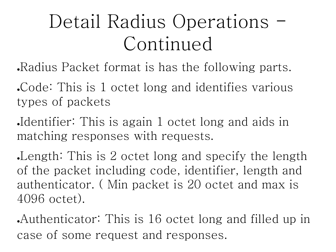# Detail Radius Operations -Continued

. Radius Packet format is has the following parts.

Code: This is 1 octet long and identifies various types of packets

Identifier: This is again 1 octet long and aids in matching responses with requests.

Length: This is 2 octet long and specify the length of the packet including code, identifier, length and authenticator. ( Min packet is 20 octet and max is 4096 octet).

Authenticator: This is 16 octet long and filled up in case of some request and responses.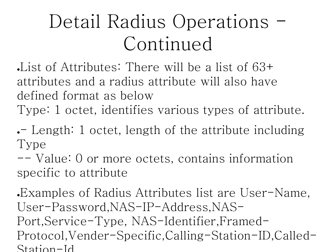# Detail Radius Operations -Continued

List of Attributes: There will be a list of  $63+$ attributes and a radius attribute will also have defined format as below

Type: 1 octet, identifies various types of attribute.

• Length: 1 octet, length of the attribute including Type

-- Value: 0 or more octets, contains information specific to attribute

Examples of Radius Attributes list are User-Name, User-Password,NAS-IP-Address,NAS-Port,Service-Type, NAS-Identifier,Framed-Protocol,Vender-Specific,Calling-Station-ID,Called-Station-Id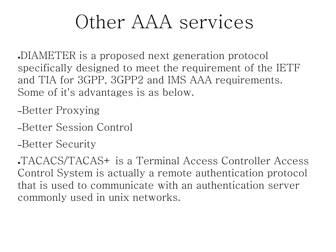#### Other AAA services

●DIAMETER is a proposed next generation protocol specifically designed to meet the requirement of the IETF and TIA for 3GPP, 3GPP2 and IMS AAA requirements. Some of it's advantages is as below.

–Better Proxying

- –Better Session Control
- –Better Security

●TACACS/TACAS+ is a Terminal Access Controller Access Control System is actually a remote authentication protocol that is used to communicate with an authentication server commonly used in unix networks.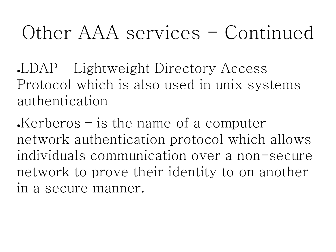### Other AAA services - Continued

●LDAP – Lightweight Directory Access Protocol which is also used in unix systems authentication

 $\cdot$ Kerberos – is the name of a computer network authentication protocol which allows individuals communication over a non-secure network to prove their identity to on another in a secure manner.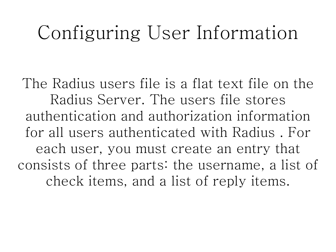#### Configuring User Information

The Radius users file is a flat text file on the Radius Server. The users file stores authentication and authorization information for all users authenticated with Radius . For each user, you must create an entry that consists of three parts: the username, a list of check items, and a list of reply items.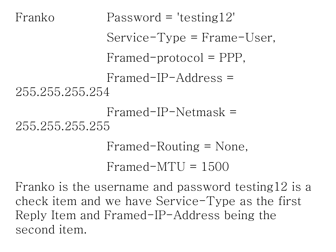```
Franko Password = 'testing12'
              Service-Type = Frame-User,
              Framed-protocol = PPP,
              Framed-IP-Address = 
255.255.255.254
              Framed-IP-Netmask = 
255.255.255.255
              Framed-Routing = None,
              Framed-MTU = 1500
```
Franko is the username and password testing12 is a check item and we have Service-Type as the first Reply Item and Framed-IP-Address being the second item.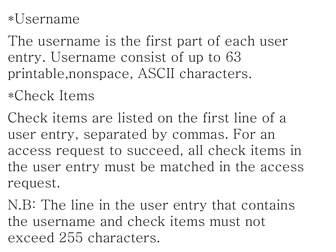#### \*Username

The username is the first part of each user entry. Username consist of up to 63 printable,nonspace, ASCII characters.

\*Check Items

Check items are listed on the first line of a user entry, separated by commas. For an access request to succeed, all check items in the user entry must be matched in the access request.

N.B: The line in the user entry that contains the username and check items must not exceed 255 characters.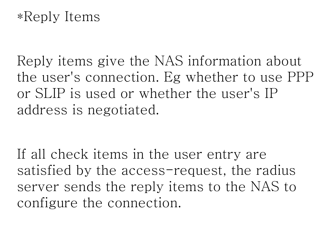#### \*Reply Items

Reply items give the NAS information about the user's connection. Eg whether to use PPP or SLIP is used or whether the user's IP address is negotiated.

If all check items in the user entry are satisfied by the access-request, the radius server sends the reply items to the NAS to configure the connection.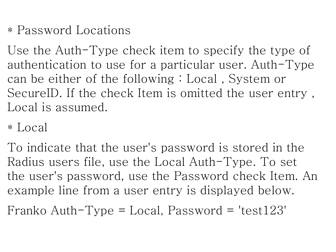\* Password Locations

Use the Auth-Type check item to specify the type of authentication to use for a particular user. Auth-Type can be either of the following : Local , System or SecureID. If the check Item is omitted the user entry , Local is assumed.

\* Local

To indicate that the user's password is stored in the Radius users file, use the Local Auth-Type. To set the user's password, use the Password check Item. An example line from a user entry is displayed below.

Franko Auth-Type = Local, Password = 'test123'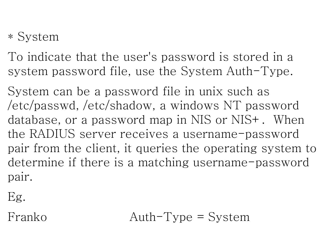#### \* System

To indicate that the user's password is stored in a system password file, use the System Auth-Type.

System can be a password file in unix such as /etc/passwd, /etc/shadow, a windows NT password database, or a password map in NIS or NIS+. When the RADIUS server receives a username-password pair from the client, it queries the operating system to determine if there is a matching username-password pair.

Eg.

Franko Auth-Type = System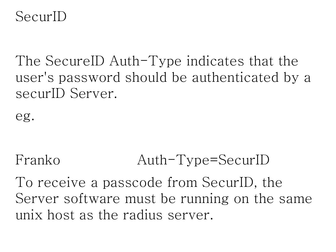SecurID

The SecureID Auth-Type indicates that the user's password should be authenticated by a securID Server.

eg.

#### Franko Auth-Type=SecurID

To receive a passcode from SecurID, the Server software must be running on the same unix host as the radius server.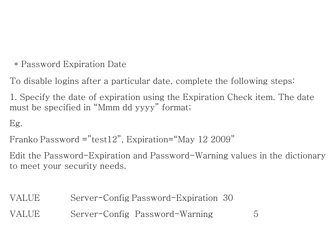\* Password Expiration Date

To disable logins after a particular date, complete the following steps:

1. Specify the date of expiration using the Expiration Check item. The date must be specified in "Mmm dd yyyy" format;

Eg.

```
Franko Password = "test12", Expiration="May 12 2009"
```
Edit the Password-Expiration and Password-Warning values in the dictionary to meet your security needs.

VALUE Server-Config Password-Expiration 30

VALUE Server-Config Password-Warning 5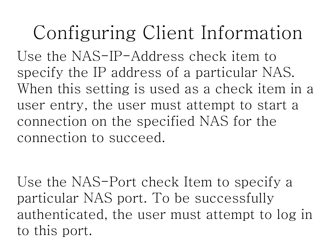# Configuring Client Information

Use the NAS-IP-Address check item to specify the IP address of a particular NAS. When this setting is used as a check item in a user entry, the user must attempt to start a connection on the specified NAS for the connection to succeed.

Use the NAS-Port check Item to specify a particular NAS port. To be successfully authenticated, the user must attempt to log in to this port.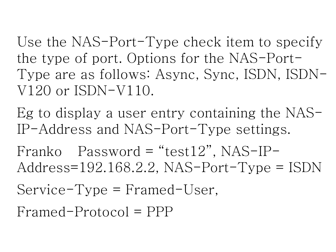Use the NAS-Port-Type check item to specify the type of port. Options for the NAS-Port-Type are as follows: Async, Sync, ISDN, ISDN-V120 or ISDN-V110.

Eg to display a user entry containing the NAS-IP-Address and NAS-Port-Type settings.

Franko Password = "test12", NAS-IP-Address=192.168.2.2, NAS-Port-Type = ISDN

Service-Type = Framed-User,

Framed-Protocol = PPP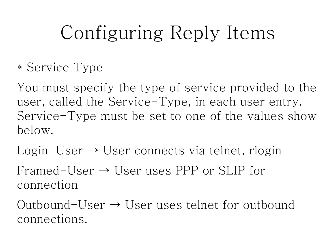# Configuring Reply Items

\* Service Type

You must specify the type of service provided to the user, called the Service-Type, in each user entry. Service-Type must be set to one of the values show below.

 $Login-User \rightarrow User connects via telnet, rlogin$ 

Framed-User  $\rightarrow$  User uses PPP or SLIP for connection

Outbound-User  $\rightarrow$  User uses telnet for outbound connections.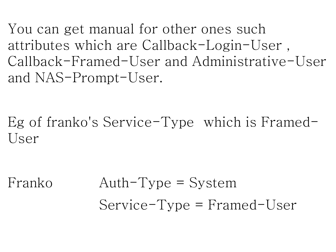You can get manual for other ones such attributes which are Callback-Login-User , Callback-Framed-User and Administrative-User and NAS-Prompt-User.

Eg of franko's Service-Type which is Framed-User

Franko Auth-Type = System Service-Type = Framed-User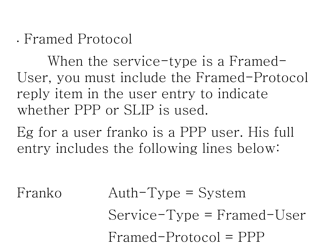• Framed Protocol

When the service-type is a Framed-User, you must include the Framed-Protocol reply item in the user entry to indicate whether PPP or SLIP is used.

Eg for a user franko is a PPP user. His full entry includes the following lines below:

Franko Auth-Type = System Service-Type = Framed-User Framed-Protocol = PPP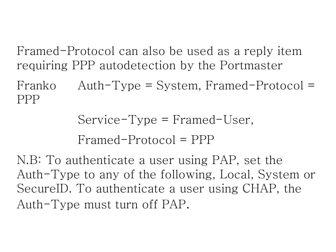Framed-Protocol can also be used as a reply item requiring PPP autodetection by the Portmaster

Franko Auth-Type = System, Framed-Protocol = PPP

> Service-Type = Framed-User, Framed-Protocol = PPP

N.B: To authenticate a user using PAP, set the Auth-Type to any of the following, Local, System or SecureID. To authenticate a user using CHAP, the Auth-Type must turn off PAP.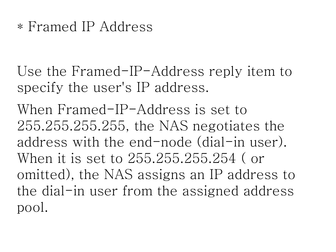#### \* Framed IP Address

Use the Framed-IP-Address reply item to specify the user's IP address.

When Framed-IP-Address is set to 255.255.255.255, the NAS negotiates the address with the end-node (dial-in user). When it is set to 255.255.255.254 ( or omitted), the NAS assigns an IP address to the dial-in user from the assigned address pool.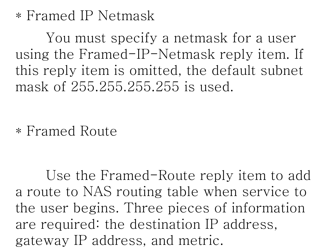#### \* Framed IP Netmask

You must specify a netmask for a user using the Framed-IP-Netmask reply item. If this reply item is omitted, the default subnet mask of 255.255.255.255 is used.

\* Framed Route

Use the Framed-Route reply item to add a route to NAS routing table when service to the user begins. Three pieces of information are required: the destination IP address, gateway IP address, and metric.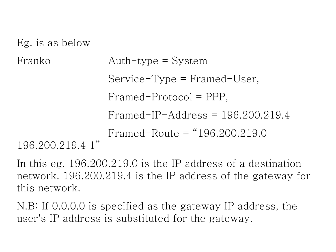Eg. is as below

```
Franko Auth-type = System
                Service-Type = Framed-User,
                Framed-Protocol = PPP,
                Framed-IP-Address = 196.200.219.4
                Framed-Route = "196.200.219.0 
196.200.219.4 1"
```
In this eg. 196.200.219.0 is the IP address of a destination network. 196.200.219.4 is the IP address of the gateway for this network.

N.B: If 0.0.0.0 is specified as the gateway IP address, the user's IP address is substituted for the gateway.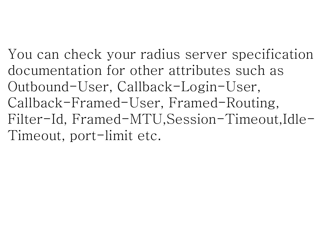You can check your radius server specification documentation for other attributes such as Outbound-User, Callback-Login-User, Callback-Framed-User, Framed-Routing, Filter-Id, Framed-MTU,Session-Timeout,Idle-Timeout, port-limit etc.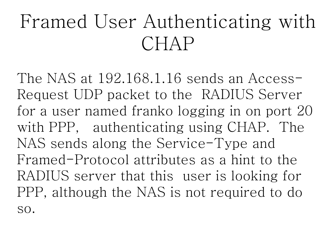# Framed User Authenticating with CHAP

The NAS at 192.168.1.16 sends an Access-Request UDP packet to the RADIUS Server for a user named franko logging in on port 20 with PPP, authenticating using CHAP. The NAS sends along the Service-Type and Framed-Protocol attributes as a hint to the RADIUS server that this user is looking for PPP, although the NAS is not required to do so.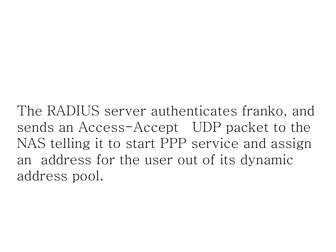The RADIUS server authenticates franko, and sends an Access-Accept UDP packet to the NAS telling it to start PPP service and assign an address for the user out of its dynamic address pool.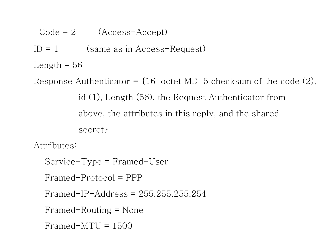$Code = 2$   $(Access-Accept)$ 

 $ID = 1$  (same as in Access-Request)

Length  $= 56$ 

Response Authenticator =  $\{16$ -octet MD-5 checksum of the code  $(2)$ , id (1), Length (56), the Request Authenticator from above, the attributes in this reply, and the shared secret}

Attributes:

Service-Type = Framed-User

Framed-Protocol = PPP

Framed-IP-Address = 255.255.255.254

Framed-Routing = None

```
Framed-MTU = 1500
```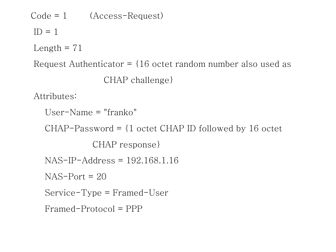Code = 1 (Access-Request)  $ID = 1$ Length  $= 71$ Request Authenticator =  $\{16 \text{ octet random number also used as } \}$  CHAP challenge} Attributes: User-Name = "franko" CHAP-Password =  $\{1 \text{ octet } CHAP \text{ ID followed by } 16 \text{ octet}$  CHAP response} NAS-IP-Address = 192.168.1.16  $NAS-Port = 20$  Service-Type = Framed-User Framed-Protocol = PPP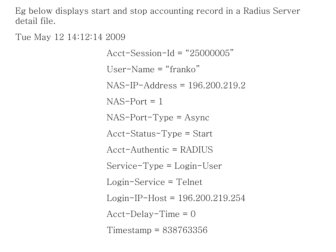Eg below displays start and stop accounting record in a Radius Server detail file.

Tue May 12 14:12:14 2009

 $Acct-Session-Id = "25000005"$ User-Name  $=$  "franko" NAS-IP-Address = 196.200.219.2  $NAS-Port = 1$ NAS-Port-Type = Async Acct-Status-Type = Start  $Acct$ -Authentic = RADIUS Service-Type = Login-User Login-Service = Telnet Login-IP-Host = 196.200.219.254  $Acct-Delay-Time = 0$ Timestamp = 838763356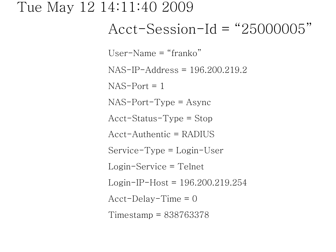#### Tue May 12 14:11:40 2009

#### $Acct-Session-Id = "25000005"$

User-Name = "franko"

NAS-IP-Address = 196.200.219.2

 $NAS-Port = 1$ 

NAS-Port-Type = Async

Acct-Status-Type = Stop

 $Acct$ -Authentic = RADIUS

Service-Type = Login-User

Login-Service = Telnet

Login-IP-Host = 196.200.219.254

 $Acct-Delay-Time = 0$ 

Timestamp = 838763378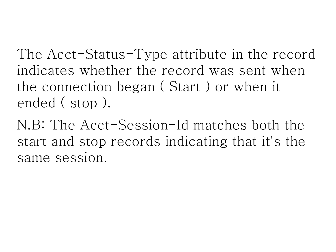The Acct-Status-Type attribute in the record indicates whether the record was sent when the connection began ( Start ) or when it ended ( stop ).

N.B: The Acct-Session-Id matches both the start and stop records indicating that it's the same session.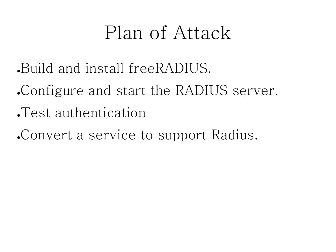### Plan of Attack

- ●Build and install freeRADIUS.
- Configure and start the RADIUS server.
- ●Test authentication
- ●Convert a service to support Radius.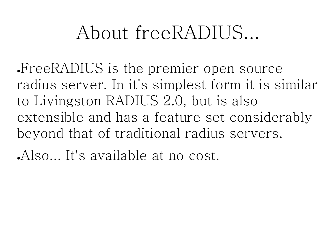### About freeRADIUS...

●FreeRADIUS is the premier open source radius server. In it's simplest form it is similar to Livingston RADIUS 2.0, but is also extensible and has a feature set considerably beyond that of traditional radius servers.

Also... It's available at no cost.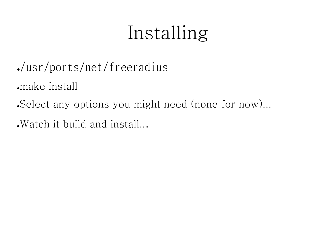# Installing

- ●/usr/ports/net/freeradius
- ●make install
- •Select any options you might need (none for now)...
- . Watch it build and install...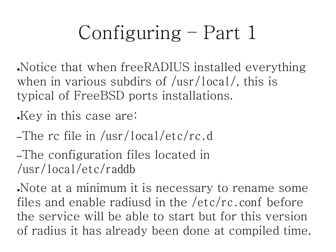Notice that when freeRADIUS installed everything when in various subdirs of /usr/local/, this is typical of FreeBSD ports installations.

Key in this case are:

–The rc file in /usr/local/etc/rc.d

–The configuration files located in /usr/local/etc/raddb

Note at a minimum it is necessary to rename some files and enable radiusd in the /etc/rc.conf before the service will be able to start but for this version of radius it has already been done at compiled time.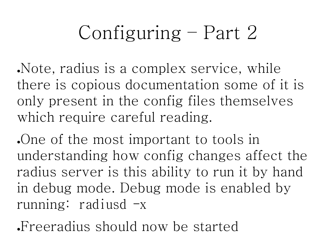Note, radius is a complex service, while there is copious documentation some of it is only present in the config files themselves which require careful reading.

One of the most important to tools in understanding how config changes affect the radius server is this ability to run it by hand in debug mode. Debug mode is enabled by running: radiusd  $-x$ 

Freeradius should now be started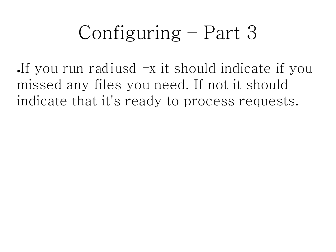If you run radiusd  $-x$  it should indicate if you missed any files you need. If not it should indicate that it's ready to process requests.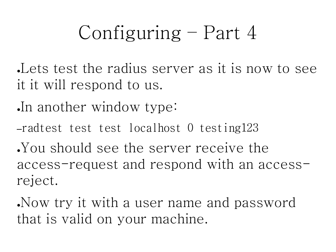Lets test the radius server as it is now to see it it will respond to us.

In another window type:

–radtest test test localhost 0 testing123

●You should see the server receive the access-request and respond with an accessreject.

●Now try it with a user name and password that is valid on your machine.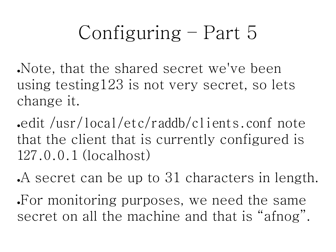Note, that the shared secret we've been using testing123 is not very secret, so lets change it.

●edit /usr/local/etc/raddb/clients.conf note that the client that is currently configured is 127.0.0.1 (localhost)

A secret can be up to 31 characters in length. For monitoring purposes, we need the same secret on all the machine and that is "afnog".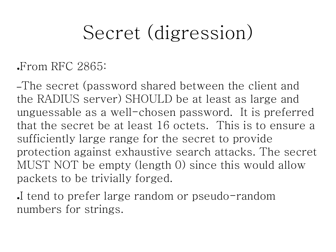# Secret (digression)

#### $\cdot$ From RFC 2865:

–The secret (password shared between the client and the RADIUS server) SHOULD be at least as large and unguessable as a well-chosen password. It is preferred that the secret be at least 16 octets. This is to ensure a sufficiently large range for the secret to provide protection against exhaustive search attacks. The secret MUST NOT be empty (length 0) since this would allow packets to be trivially forged.

I tend to prefer large random or pseudo-random numbers for strings.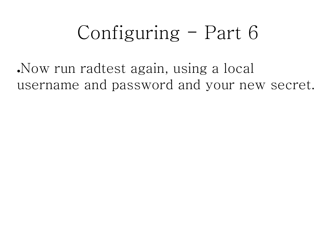●Now run radtest again, using a local username and password and your new secret.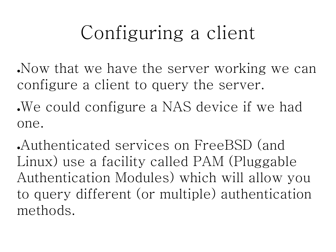# Configuring a client

- Now that we have the server working we can configure a client to query the server.
- We could configure a NAS device if we had one.
- ●Authenticated services on FreeBSD (and Linux) use a facility called PAM (Pluggable Authentication Modules) which will allow you to query different (or multiple) authentication methods.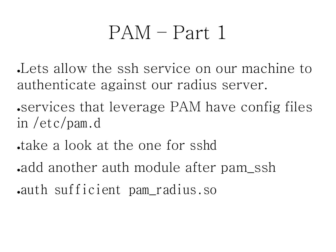#### PAM – Part 1

●Lets allow the ssh service on our machine to authenticate against our radius server.

• services that leverage PAM have config files in /etc/pam.d

- take a look at the one for sshd
- add another auth module after pam ssh
- ●auth sufficient pam\_radius.so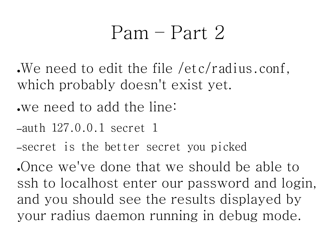#### $Pam$  – Part  $2$

- We need to edit the file /etc/radius.conf. which probably doesn't exist yet.
- ●we need to add the line:
- –auth 127.0.0.1 secret 1
- –secret is the better secret you picked

●Once we've done that we should be able to ssh to localhost enter our password and login, and you should see the results displayed by your radius daemon running in debug mode.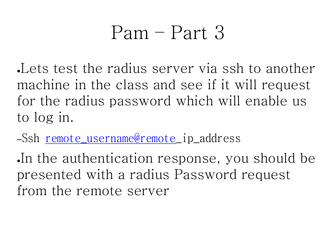#### Pam – Part 3

Lets test the radius server via ssh to another machine in the class and see if it will request for the radius password which will enable us to log in.

–Ssh [remote\\_username@remote](mailto:remote_username@remote)\_ip\_address

In the authentication response, you should be presented with a radius Password request from the remote server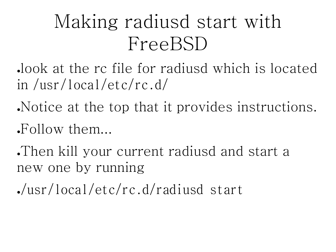# Making radiusd start with FreeBSD

●look at the rc file for radiusd which is located in /usr/local/etc/rc.d/

Notice at the top that it provides instructions.

 $Follow$  them...

Then kill your current radiusd and start a new one by running

●/usr/local/etc/rc.d/radiusd start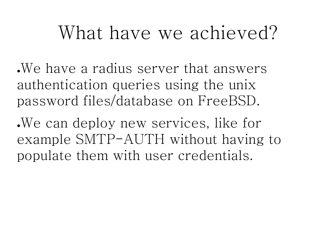#### What have we achieved?

. We have a radius server that answers authentication queries using the unix password files/database on FreeBSD.

●We can deploy new services, like for example SMTP-AUTH without having to populate them with user credentials.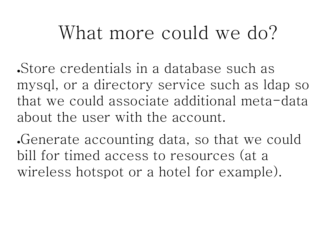### What more could we do?

●Store credentials in a database such as mysql, or a directory service such as ldap so that we could associate additional meta-data about the user with the account.

Generate accounting data, so that we could bill for timed access to resources (at a wireless hotspot or a hotel for example).